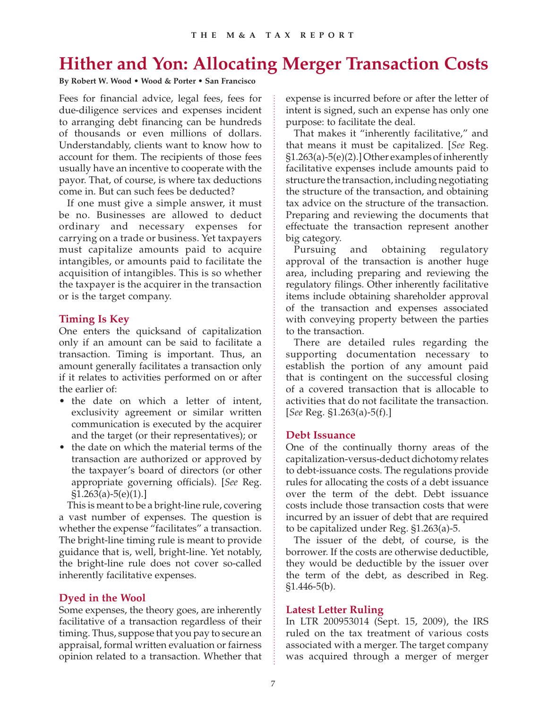# **Hither and Yon: Allocating Merger Transaction Costs**

**By Robert W. Wood • Wood & Porter • San Francisco**

Fees for financial advice, legal fees, fees for due-diligence services and expenses incident to arranging debt financing can be hundreds of thousands or even millions of dollars. Understandably, clients want to know how to account for them. The recipients of those fees usually have an incentive to cooperate with the payor. That, of course, is where tax deductions come in. But can such fees be deducted?

If one must give a simple answer, it must be no. Businesses are allowed to deduct ordinary and necessary expenses for carrying on a trade or business. Yet taxpayers must capitalize amounts paid to acquire intangibles, or amounts paid to facilitate the acquisition of intangibles. This is so whether the taxpayer is the acquirer in the transaction or is the target company.

## **Timing Is Key**

One enters the quicksand of capitalization only if an amount can be said to facilitate a transaction. Timing is important. Thus, an amount generally facilitates a transaction only if it relates to activities performed on or after the earlier of:

- the date on which a letter of intent, exclusivity agreement or similar written communication is executed by the acquirer and the target (or their representatives); or
- the date on which the material terms of the transaction are authorized or approved by the taxpayer's board of directors (or other appropriate governing officials). [*See* Reg.  $$1.263(a)-5(e)(1).]$

This is meant to be a bright-line rule, covering a vast number of expenses. The question is whether the expense "facilitates" a transaction. The bright-line timing rule is meant to provide guidance that is, well, bright-line. Yet notably, the bright-line rule does not cover so-called inherently facilitative expenses.

## **Dyed in the Wool**

Some expenses, the theory goes, are inherently facilitative of a transaction regardless of their timing. Thus, suppose that you pay to secure an appraisal, formal written evaluation or fairness opinion related to a transaction. Whether that

expense is incurred before or after the letter of intent is signed, such an expense has only one purpose: to facilitate the deal.

That makes it "inherently facilitative," and that means it must be capitalized. [*See* Reg. §1.263(a)-5(e)(2).] Other examples of inherently facilitative expenses include amounts paid to structure the transaction, including negotiating the structure of the transaction, and obtaining tax advice on the structure of the transaction. Preparing and reviewing the documents that effectuate the transaction represent another big category.

Pursuing and obtaining regulatory approval of the transaction is another huge area, including preparing and reviewing the regulatory filings. Other inherently facilitative items include obtaining shareholder approval of the transaction and expenses associated with conveying property between the parties to the transaction.

There are detailed rules regarding the supporting documentation necessary to establish the portion of any amount paid that is contingent on the successful closing of a covered transaction that is allocable to activities that do not facilitate the transaction. [*See* Reg. §1.263(a)-5(f).]

## **Debt Issuance**

One of the continually thorny areas of the capitalization-versus-deduct dichotomy relates to debt-issuance costs. The regulations provide rules for allocating the costs of a debt issuance over the term of the debt. Debt issuance costs include those transaction costs that were incurred by an issuer of debt that are required to be capitalized under Reg. §1.263(a)-5.

The issuer of the debt, of course, is the borrower. If the costs are otherwise deductible, they would be deductible by the issuer over the term of the debt, as described in Reg. §1.446-5(b).

#### **Latest Letter Ruling**

In LTR 200953014 (Sept. 15, 2009), the IRS ruled on the tax treatment of various costs associated with a merger. The target company was acquired through a merger of merger